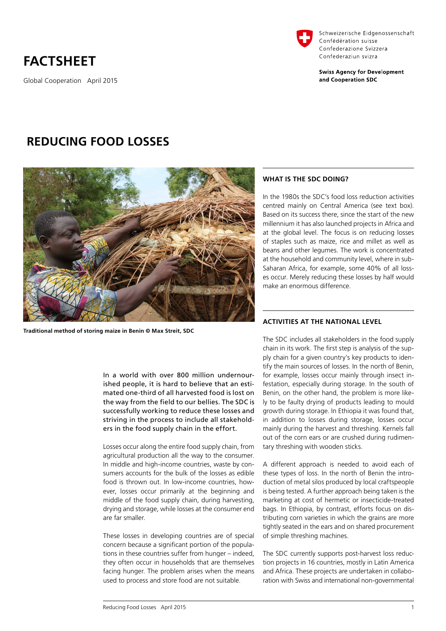# **FACTSHEET**

Global Cooperation April 2015



Schweizerische Eidgenossenschaft Confédération suisse Confederazione Svizzera Confederaziun svizra

**Swiss Agency for Development** and Cooperation SDC

# **REDUCING FOOD LOSSES**



**Traditional method of storing maize in Benin © Max Streit, SDC**

In a world with over 800 million undernourished people, it is hard to believe that an estimated one-third of all harvested food is lost on the way from the field to our bellies. The SDC is successfully working to reduce these losses and striving in the process to include all stakeholders in the food supply chain in the effort.

Losses occur along the entire food supply chain, from agricultural production all the way to the consumer. In middle and high-income countries, waste by consumers accounts for the bulk of the losses as edible food is thrown out. In low-income countries, however, losses occur primarily at the beginning and middle of the food supply chain, during harvesting, drying and storage, while losses at the consumer end are far smaller.

These losses in developing countries are of special concern because a significant portion of the populations in these countries suffer from hunger – indeed, they often occur in households that are themselves facing hunger. The problem arises when the means used to process and store food are not suitable.

# **WHAT IS THE SDC DOING?**

In the 1980s the SDC's food loss reduction activities centred mainly on Central America (see text box). Based on its success there, since the start of the new millennium it has also launched projects in Africa and at the global level. The focus is on reducing losses of staples such as maize, rice and millet as well as beans and other legumes. The work is concentrated at the household and community level, where in sub-Saharan Africa, for example, some 40% of all losses occur. Merely reducing these losses by half would make an enormous difference.

# **ACTIVITIES AT THE NATIONAL LEVEL**

The SDC includes all stakeholders in the food supply chain in its work. The first step is analysis of the supply chain for a given country's key products to identify the main sources of losses. In the north of Benin, for example, losses occur mainly through insect infestation, especially during storage. In the south of Benin, on the other hand, the problem is more likely to be faulty drying of products leading to mould growth during storage. In Ethiopia it was found that, in addition to losses during storage, losses occur mainly during the harvest and threshing. Kernels fall out of the corn ears or are crushed during rudimentary threshing with wooden sticks.

A different approach is needed to avoid each of these types of loss. In the north of Benin the introduction of metal silos produced by local craftspeople is being tested. A further approach being taken is the marketing at cost of hermetic or insecticide-treated bags. In Ethiopia, by contrast, efforts focus on distributing corn varieties in which the grains are more tightly seated in the ears and on shared procurement of simple threshing machines.

The SDC currently supports post-harvest loss reduction projects in 16 countries, mostly in Latin America and Africa. These projects are undertaken in collaboration with Swiss and international non-governmental